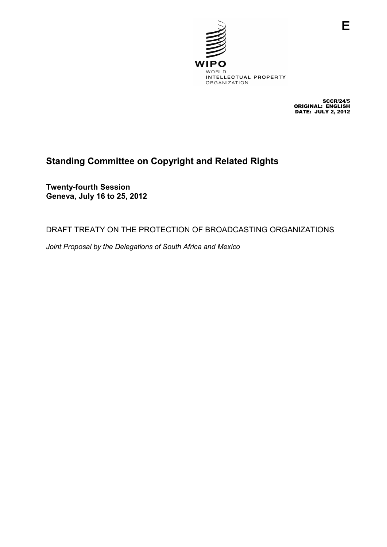

SCCR/24/5 ORIGINAL: ENGLISH DATE: JULY 2, 2012

# **Standing Committee on Copyright and Related Rights**

**Twenty-fourth Session Geneva, July 16 to 25, 2012** 

DRAFT TREATY ON THE PROTECTION OF BROADCASTING ORGANIZATIONS

*Joint Proposal by the Delegations of South Africa and Mexico*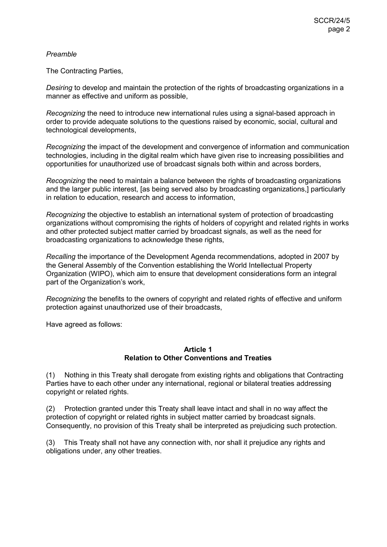## *Preamble*

The Contracting Parties,

*Desiring* to develop and maintain the protection of the rights of broadcasting organizations in a manner as effective and uniform as possible,

*Recognizing* the need to introduce new international rules using a signal-based approach in order to provide adequate solutions to the questions raised by economic, social, cultural and technological developments,

*Recognizing* the impact of the development and convergence of information and communication technologies, including in the digital realm which have given rise to increasing possibilities and opportunities for unauthorized use of broadcast signals both within and across borders,

*Recognizing* the need to maintain a balance between the rights of broadcasting organizations and the larger public interest, [as being served also by broadcasting organizations,] particularly in relation to education, research and access to information,

*Recognizing* the objective to establish an international system of protection of broadcasting organizations without compromising the rights of holders of copyright and related rights in works and other protected subject matter carried by broadcast signals, as well as the need for broadcasting organizations to acknowledge these rights,

*Recalling* the importance of the Development Agenda recommendations, adopted in 2007 by the General Assembly of the Convention establishing the World Intellectual Property Organization (WIPO), which aim to ensure that development considerations form an integral part of the Organization's work,

*Recognizing* the benefits to the owners of copyright and related rights of effective and uniform protection against unauthorized use of their broadcasts,

Have agreed as follows:

#### **Article 1 Relation to Other Conventions and Treaties**

(1) Nothing in this Treaty shall derogate from existing rights and obligations that Contracting Parties have to each other under any international, regional or bilateral treaties addressing copyright or related rights.

(2) Protection granted under this Treaty shall leave intact and shall in no way affect the protection of copyright or related rights in subject matter carried by broadcast signals. Consequently, no provision of this Treaty shall be interpreted as prejudicing such protection.

(3) This Treaty shall not have any connection with, nor shall it prejudice any rights and obligations under, any other treaties.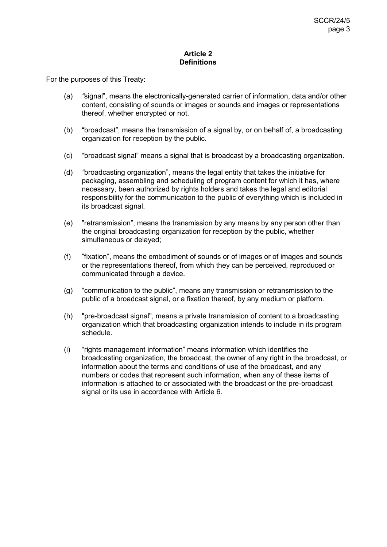## **Article 2 Definitions**

For the purposes of this Treaty:

- (a) *"*signal", means the electronically-generated carrier of information, data and/or other content, consisting of sounds or images or sounds and images or representations thereof, whether encrypted or not.
- (b) "broadcast", means the transmission of a signal by, or on behalf of, a broadcasting organization for reception by the public.
- (c) "broadcast signal" means a signal that is broadcast by a broadcasting organization.
- (d) *"*broadcasting organization", means the legal entity that takes the initiative for packaging, assembling and scheduling of program content for which it has, where necessary, been authorized by rights holders and takes the legal and editorial responsibility for the communication to the public of everything which is included in its broadcast signal.
- (e) "retransmission", means the transmission by any means by any person other than the original broadcasting organization for reception by the public, whether simultaneous or delayed;
- (f) "fixation", means the embodiment of sounds or of images or of images and sounds or the representations thereof, from which they can be perceived, reproduced or communicated through a device.
- (g) "communication to the public", means any transmission or retransmission to the public of a broadcast signal, or a fixation thereof, by any medium or platform.
- (h) "pre-broadcast signal", means a private transmission of content to a broadcasting organization which that broadcasting organization intends to include in its program schedule.
- (i) "rights management information" means information which identifies the broadcasting organization, the broadcast, the owner of any right in the broadcast, or information about the terms and conditions of use of the broadcast, and any numbers or codes that represent such information, when any of these items of information is attached to or associated with the broadcast or the pre-broadcast signal or its use in accordance with Article 6.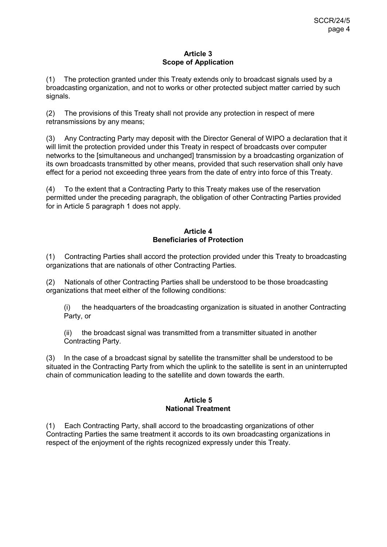## **Article 3 Scope of Application**

(1) The protection granted under this Treaty extends only to broadcast signals used by a broadcasting organization, and not to works or other protected subject matter carried by such signals.

(2) The provisions of this Treaty shall not provide any protection in respect of mere retransmissions by any means;

(3) Any Contracting Party may deposit with the Director General of WIPO a declaration that it will limit the protection provided under this Treaty in respect of broadcasts over computer networks to the [simultaneous and unchanged] transmission by a broadcasting organization of its own broadcasts transmitted by other means, provided that such reservation shall only have effect for a period not exceeding three years from the date of entry into force of this Treaty.

(4) To the extent that a Contracting Party to this Treaty makes use of the reservation permitted under the preceding paragraph, the obligation of other Contracting Parties provided for in Article 5 paragraph 1 does not apply.

# **Article 4 Beneficiaries of Protection**

(1) Contracting Parties shall accord the protection provided under this Treaty to broadcasting organizations that are nationals of other Contracting Parties.

(2) Nationals of other Contracting Parties shall be understood to be those broadcasting organizations that meet either of the following conditions:

(i) the headquarters of the broadcasting organization is situated in another Contracting Party, or

(ii) the broadcast signal was transmitted from a transmitter situated in another Contracting Party.

(3) In the case of a broadcast signal by satellite the transmitter shall be understood to be situated in the Contracting Party from which the uplink to the satellite is sent in an uninterrupted chain of communication leading to the satellite and down towards the earth.

# **Article 5 National Treatment**

(1) Each Contracting Party, shall accord to the broadcasting organizations of other Contracting Parties the same treatment it accords to its own broadcasting organizations in respect of the enjoyment of the rights recognized expressly under this Treaty.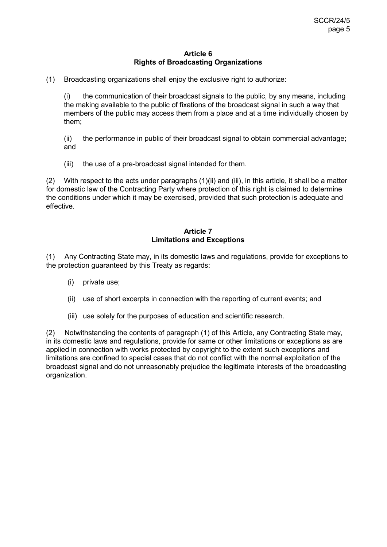#### **Article 6 Rights of Broadcasting Organizations**

(1) Broadcasting organizations shall enjoy the exclusive right to authorize:

(i) the communication of their broadcast signals to the public, by any means, including the making available to the public of fixations of the broadcast signal in such a way that members of the public may access them from a place and at a time individually chosen by them;

(ii) the performance in public of their broadcast signal to obtain commercial advantage; and

(iii) the use of a pre-broadcast signal intended for them.

(2) With respect to the acts under paragraphs (1)(ii) and (iii), in this article, it shall be a matter for domestic law of the Contracting Party where protection of this right is claimed to determine the conditions under which it may be exercised, provided that such protection is adequate and effective.

## **Article 7 Limitations and Exceptions**

(1) Any Contracting State may, in its domestic laws and regulations, provide for exceptions to the protection guaranteed by this Treaty as regards:

- (i) private use;
- (ii) use of short excerpts in connection with the reporting of current events; and
- (iii) use solely for the purposes of education and scientific research.

(2) Notwithstanding the contents of paragraph (1) of this Article, any Contracting State may, in its domestic laws and regulations, provide for same or other limitations or exceptions as are applied in connection with works protected by copyright to the extent such exceptions and limitations are confined to special cases that do not conflict with the normal exploitation of the broadcast signal and do not unreasonably prejudice the legitimate interests of the broadcasting organization.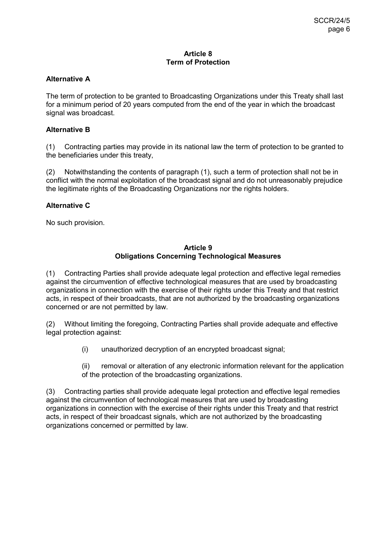## **Article 8 Term of Protection**

## **Alternative A**

The term of protection to be granted to Broadcasting Organizations under this Treaty shall last for a minimum period of 20 years computed from the end of the year in which the broadcast signal was broadcast.

## **Alternative B**

(1) Contracting parties may provide in its national law the term of protection to be granted to the beneficiaries under this treaty,

(2) Notwithstanding the contents of paragraph (1), such a term of protection shall not be in conflict with the normal exploitation of the broadcast signal and do not unreasonably prejudice the legitimate rights of the Broadcasting Organizations nor the rights holders.

#### **Alternative C**

No such provision.

#### **Article 9 Obligations Concerning Technological Measures**

(1) Contracting Parties shall provide adequate legal protection and effective legal remedies against the circumvention of effective technological measures that are used by broadcasting organizations in connection with the exercise of their rights under this Treaty and that restrict acts, in respect of their broadcasts, that are not authorized by the broadcasting organizations concerned or are not permitted by law.

(2) Without limiting the foregoing, Contracting Parties shall provide adequate and effective legal protection against:

(i) unauthorized decryption of an encrypted broadcast signal;

(ii) removal or alteration of any electronic information relevant for the application of the protection of the broadcasting organizations.

(3) Contracting parties shall provide adequate legal protection and effective legal remedies against the circumvention of technological measures that are used by broadcasting organizations in connection with the exercise of their rights under this Treaty and that restrict acts, in respect of their broadcast signals, which are not authorized by the broadcasting organizations concerned or permitted by law.